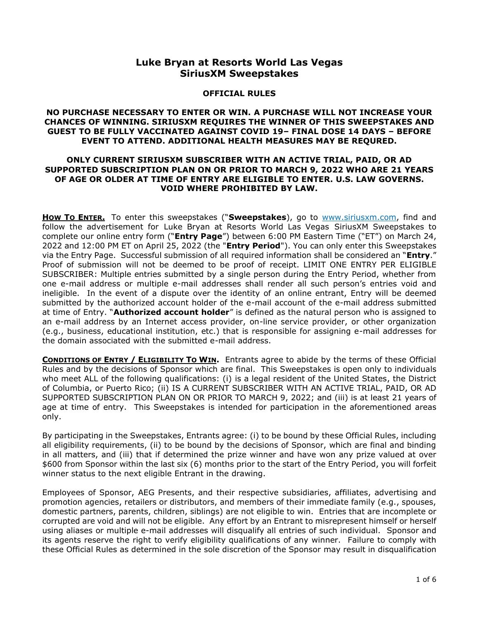# **Luke Bryan at Resorts World Las Vegas SiriusXM Sweepstakes**

#### **OFFICIAL RULES**

### **NO PURCHASE NECESSARY TO ENTER OR WIN. A PURCHASE WILL NOT INCREASE YOUR CHANCES OF WINNING. SIRIUSXM REQUIRES THE WINNER OF THIS SWEEPSTAKES AND GUEST TO BE FULLY VACCINATED AGAINST COVID 19– FINAL DOSE 14 DAYS – BEFORE EVENT TO ATTEND. ADDITIONAL HEALTH MEASURES MAY BE REQURED.**

## **ONLY CURRENT SIRIUSXM SUBSCRIBER WITH AN ACTIVE TRIAL, PAID, OR AD SUPPORTED SUBSCRIPTION PLAN ON OR PRIOR TO MARCH 9, 2022 WHO ARE 21 YEARS OF AGE OR OLDER AT TIME OF ENTRY ARE ELIGIBLE TO ENTER. U.S. LAW GOVERNS. VOID WHERE PROHIBITED BY LAW.**

**HOW TO ENTER.** To enter this sweepstakes ("**Sweepstakes**), go to [www.siriusxm.com,](http://www.siriusxm.com/) find and follow the advertisement for Luke Bryan at Resorts World Las Vegas SiriusXM Sweepstakes to complete our online entry form ("**Entry Page**") between 6:00 PM Eastern Time ("ET") on March 24, 2022 and 12:00 PM ET on April 25, 2022 (the "**Entry Period**"). You can only enter this Sweepstakes via the Entry Page. Successful submission of all required information shall be considered an "**Entry**." Proof of submission will not be deemed to be proof of receipt. LIMIT ONE ENTRY PER ELIGIBLE SUBSCRIBER: Multiple entries submitted by a single person during the Entry Period, whether from one e-mail address or multiple e-mail addresses shall render all such person's entries void and ineligible. In the event of a dispute over the identity of an online entrant, Entry will be deemed submitted by the authorized account holder of the e-mail account of the e-mail address submitted at time of Entry. "**Authorized account holder**" is defined as the natural person who is assigned to an e-mail address by an Internet access provider, on-line service provider, or other organization (e.g., business, educational institution, etc.) that is responsible for assigning e-mail addresses for the domain associated with the submitted e-mail address.

**CONDITIONS OF ENTRY / ELIGIBILITY TO WIN.** Entrants agree to abide by the terms of these Official Rules and by the decisions of Sponsor which are final. This Sweepstakes is open only to individuals who meet ALL of the following qualifications: (i) is a legal resident of the United States, the District of Columbia, or Puerto Rico; (ii) IS A CURRENT SUBSCRIBER WITH AN ACTIVE TRIAL, PAID, OR AD SUPPORTED SUBSCRIPTION PLAN ON OR PRIOR TO MARCH 9, 2022; and (iii) is at least 21 years of age at time of entry. This Sweepstakes is intended for participation in the aforementioned areas only.

By participating in the Sweepstakes, Entrants agree: (i) to be bound by these Official Rules, including all eligibility requirements, (ii) to be bound by the decisions of Sponsor, which are final and binding in all matters, and (iii) that if determined the prize winner and have won any prize valued at over \$600 from Sponsor within the last six (6) months prior to the start of the Entry Period, you will forfeit winner status to the next eligible Entrant in the drawing.

Employees of Sponsor, AEG Presents, and their respective subsidiaries, affiliates, advertising and promotion agencies, retailers or distributors, and members of their immediate family (e.g., spouses, domestic partners, parents, children, siblings) are not eligible to win. Entries that are incomplete or corrupted are void and will not be eligible. Any effort by an Entrant to misrepresent himself or herself using aliases or multiple e-mail addresses will disqualify all entries of such individual. Sponsor and its agents reserve the right to verify eligibility qualifications of any winner. Failure to comply with these Official Rules as determined in the sole discretion of the Sponsor may result in disqualification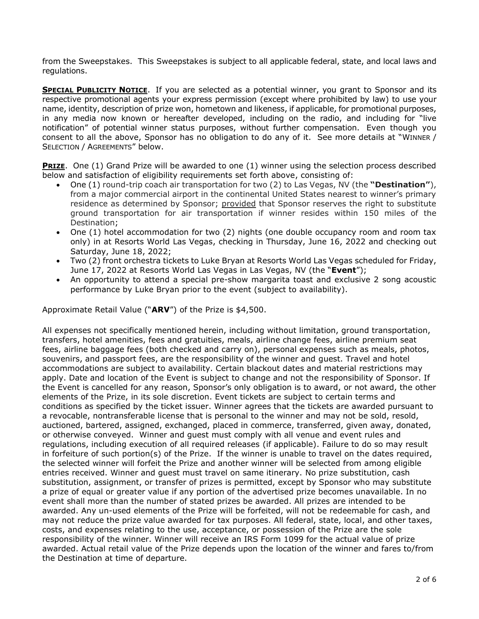from the Sweepstakes. This Sweepstakes is subject to all applicable federal, state, and local laws and regulations.

**SPECIAL PUBLICITY NOTICE**. If you are selected as a potential winner, you grant to Sponsor and its respective promotional agents your express permission (except where prohibited by law) to use your name, identity, description of prize won, hometown and likeness, if applicable, for promotional purposes, in any media now known or hereafter developed, including on the radio, and including for "live notification" of potential winner status purposes, without further compensation. Even though you consent to all the above, Sponsor has no obligation to do any of it. See more details at "WINNER / SELECTION / AGREEMENTS" below.

**PRIZE**. One (1) Grand Prize will be awarded to one (1) winner using the selection process described below and satisfaction of eligibility requirements set forth above, consisting of:

- One (1) round-trip coach air transportation for two (2) to Las Vegas, NV (the **"Destination"**), from a major commercial airport in the continental United States nearest to winner's primary residence as determined by Sponsor; provided that Sponsor reserves the right to substitute ground transportation for air transportation if winner resides within 150 miles of the Destination;
- One (1) hotel accommodation for two (2) nights (one double occupancy room and room tax only) in at Resorts World Las Vegas, checking in Thursday, June 16, 2022 and checking out Saturday, June 18, 2022;
- Two (2) front orchestra tickets to Luke Bryan at Resorts World Las Vegas scheduled for Friday, June 17, 2022 at Resorts World Las Vegas in Las Vegas, NV (the "**Event**");
- An opportunity to attend a special pre-show margarita toast and exclusive 2 song acoustic performance by Luke Bryan prior to the event (subject to availability).

Approximate Retail Value ("**ARV**") of the Prize is \$4,500.

All expenses not specifically mentioned herein, including without limitation, ground transportation, transfers, hotel amenities, fees and gratuities, meals, airline change fees, airline premium seat fees, airline baggage fees (both checked and carry on), personal expenses such as meals, photos, souvenirs, and passport fees, are the responsibility of the winner and guest. Travel and hotel accommodations are subject to availability. Certain blackout dates and material restrictions may apply. Date and location of the Event is subject to change and not the responsibility of Sponsor. If the Event is cancelled for any reason, Sponsor's only obligation is to award, or not award, the other elements of the Prize, in its sole discretion. Event tickets are subject to certain terms and conditions as specified by the ticket issuer. Winner agrees that the tickets are awarded pursuant to a revocable, nontransferable license that is personal to the winner and may not be sold, resold, auctioned, bartered, assigned, exchanged, placed in commerce, transferred, given away, donated, or otherwise conveyed. Winner and guest must comply with all venue and event rules and regulations, including execution of all required releases (if applicable). Failure to do so may result in forfeiture of such portion(s) of the Prize. If the winner is unable to travel on the dates required, the selected winner will forfeit the Prize and another winner will be selected from among eligible entries received. Winner and guest must travel on same itinerary. No prize substitution, cash substitution, assignment, or transfer of prizes is permitted, except by Sponsor who may substitute a prize of equal or greater value if any portion of the advertised prize becomes unavailable. In no event shall more than the number of stated prizes be awarded. All prizes are intended to be awarded. Any un-used elements of the Prize will be forfeited, will not be redeemable for cash, and may not reduce the prize value awarded for tax purposes. All federal, state, local, and other taxes, costs, and expenses relating to the use, acceptance, or possession of the Prize are the sole responsibility of the winner. Winner will receive an IRS Form 1099 for the actual value of prize awarded. Actual retail value of the Prize depends upon the location of the winner and fares to/from the Destination at time of departure.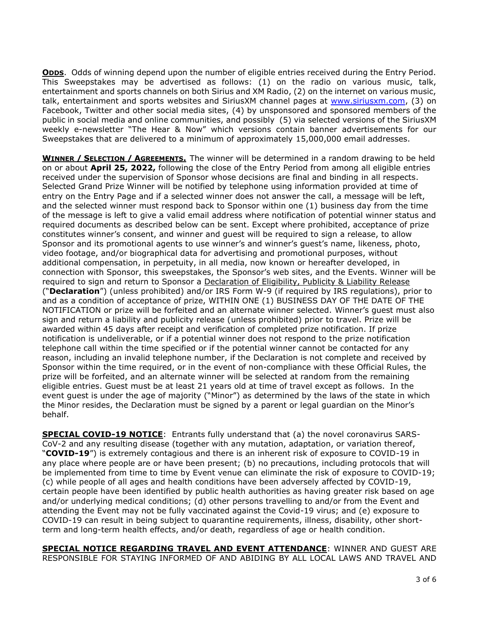**ODDS**. Odds of winning depend upon the number of eligible entries received during the Entry Period. This Sweepstakes may be advertised as follows: (1) on the radio on various music, talk, entertainment and sports channels on both Sirius and XM Radio, (2) on the internet on various music, talk, entertainment and sports websites and SiriusXM channel pages at [www.siriusxm.com,](http://www.siriusxm.com/) (3) on Facebook, Twitter and other social media sites, (4) by unsponsored and sponsored members of the public in social media and online communities, and possibly (5) via selected versions of the SiriusXM weekly e-newsletter "The Hear & Now" which versions contain banner advertisements for our Sweepstakes that are delivered to a minimum of approximately 15,000,000 email addresses.

**WINNER / SELECTION / AGREEMENTS.** The winner will be determined in a random drawing to be held on or about **April 25, 2022,** following the close of the Entry Period from among all eligible entries received under the supervision of Sponsor whose decisions are final and binding in all respects. Selected Grand Prize Winner will be notified by telephone using information provided at time of entry on the Entry Page and if a selected winner does not answer the call, a message will be left, and the selected winner must respond back to Sponsor within one (1) business day from the time of the message is left to give a valid email address where notification of potential winner status and required documents as described below can be sent. Except where prohibited, acceptance of prize constitutes winner's consent, and winner and guest will be required to sign a release, to allow Sponsor and its promotional agents to use winner's and winner's guest's name, likeness, photo, video footage, and/or biographical data for advertising and promotional purposes, without additional compensation, in perpetuity, in all media, now known or hereafter developed, in connection with Sponsor, this sweepstakes, the Sponsor's web sites, and the Events. Winner will be required to sign and return to Sponsor a Declaration of Eligibility, Publicity & Liability Release ("**Declaration**") (unless prohibited) and/or IRS Form W-9 (if required by IRS regulations), prior to and as a condition of acceptance of prize, WITHIN ONE (1) BUSINESS DAY OF THE DATE OF THE NOTIFICATION or prize will be forfeited and an alternate winner selected. Winner's guest must also sign and return a liability and publicity release (unless prohibited) prior to travel. Prize will be awarded within 45 days after receipt and verification of completed prize notification. If prize notification is undeliverable, or if a potential winner does not respond to the prize notification telephone call within the time specified or if the potential winner cannot be contacted for any reason, including an invalid telephone number, if the Declaration is not complete and received by Sponsor within the time required, or in the event of non-compliance with these Official Rules, the prize will be forfeited, and an alternate winner will be selected at random from the remaining eligible entries. Guest must be at least 21 years old at time of travel except as follows. In the event guest is under the age of majority ("Minor") as determined by the laws of the state in which the Minor resides, the Declaration must be signed by a parent or legal guardian on the Minor's behalf.

**SPECIAL COVID-19 NOTICE**: Entrants fully understand that (a) the novel coronavirus SARS-CoV-2 and any resulting disease (together with any mutation, adaptation, or variation thereof, "**COVID-19**") is extremely contagious and there is an inherent risk of exposure to COVID-19 in any place where people are or have been present; (b) no precautions, including protocols that will be implemented from time to time by Event venue can eliminate the risk of exposure to COVID-19; (c) while people of all ages and health conditions have been adversely affected by COVID-19, certain people have been identified by public health authorities as having greater risk based on age and/or underlying medical conditions; (d) other persons travelling to and/or from the Event and attending the Event may not be fully vaccinated against the Covid-19 virus; and (e) exposure to COVID-19 can result in being subject to quarantine requirements, illness, disability, other shortterm and long-term health effects, and/or death, regardless of age or health condition.

**SPECIAL NOTICE REGARDING TRAVEL AND EVENT ATTENDANCE**: WINNER AND GUEST ARE RESPONSIBLE FOR STAYING INFORMED OF AND ABIDING BY ALL LOCAL LAWS AND TRAVEL AND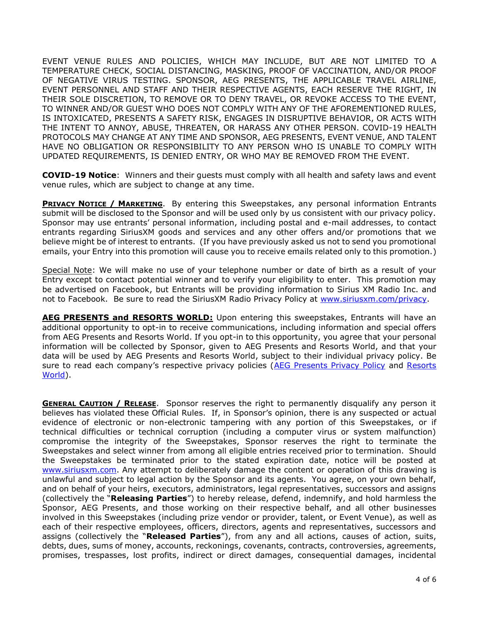EVENT VENUE RULES AND POLICIES, WHICH MAY INCLUDE, BUT ARE NOT LIMITED TO A TEMPERATURE CHECK, SOCIAL DISTANCING, MASKING, PROOF OF VACCINATION, AND/OR PROOF OF NEGATIVE VIRUS TESTING. SPONSOR, AEG PRESENTS, THE APPLICABLE TRAVEL AIRLINE, EVENT PERSONNEL AND STAFF AND THEIR RESPECTIVE AGENTS, EACH RESERVE THE RIGHT, IN THEIR SOLE DISCRETION, TO REMOVE OR TO DENY TRAVEL, OR REVOKE ACCESS TO THE EVENT, TO WINNER AND/OR GUEST WHO DOES NOT COMPLY WITH ANY OF THE AFOREMENTIONED RULES, IS INTOXICATED, PRESENTS A SAFETY RISK, ENGAGES IN DISRUPTIVE BEHAVIOR, OR ACTS WITH THE INTENT TO ANNOY, ABUSE, THREATEN, OR HARASS ANY OTHER PERSON. COVID-19 HEALTH PROTOCOLS MAY CHANGE AT ANY TIME AND SPONSOR, AEG PRESENTS, EVENT VENUE, AND TALENT HAVE NO OBLIGATION OR RESPONSIBILITY TO ANY PERSON WHO IS UNABLE TO COMPLY WITH UPDATED REQUIREMENTS, IS DENIED ENTRY, OR WHO MAY BE REMOVED FROM THE EVENT.

**COVID-19 Notice**: Winners and their guests must comply with all health and safety laws and event venue rules, which are subject to change at any time.

**PRIVACY NOTICE / MARKETING**. By entering this Sweepstakes, any personal information Entrants submit will be disclosed to the Sponsor and will be used only by us consistent with our privacy policy. Sponsor may use entrants' personal information, including postal and e-mail addresses, to contact entrants regarding SiriusXM goods and services and any other offers and/or promotions that we believe might be of interest to entrants. (If you have previously asked us not to send you promotional emails, your Entry into this promotion will cause you to receive emails related only to this promotion.)

Special Note: We will make no use of your telephone number or date of birth as a result of your Entry except to contact potential winner and to verify your eligibility to enter. This promotion may be advertised on Facebook, but Entrants will be providing information to Sirius XM Radio Inc. and not to Facebook. Be sure to read the SiriusXM Radio Privacy Policy at [www.siriusxm.com/privacy.](http://www.siriusxm.com/privacy)

AEG PRESENTS and RESORTS WORLD: Upon entering this sweepstakes, Entrants will have an additional opportunity to opt-in to receive communications, including information and special offers from AEG Presents and Resorts World. If you opt-in to this opportunity, you agree that your personal information will be collected by Sponsor, given to AEG Presents and Resorts World, and that your data will be used by AEG Presents and Resorts World, subject to their individual privacy policy. Be sure to read each company's respective privacy policies ([AEG Presents Privacy Policy](https://www.aegworldwide.com/privacy-policy) and [Resorts](https://www.rwlasvegas.com/privacy-and-statements/)  [World\)](https://www.rwlasvegas.com/privacy-and-statements/).

**GENERAL CAUTION / RELEASE.** Sponsor reserves the right to permanently disqualify any person it believes has violated these Official Rules. If, in Sponsor's opinion, there is any suspected or actual evidence of electronic or non-electronic tampering with any portion of this Sweepstakes, or if technical difficulties or technical corruption (including a computer virus or system malfunction) compromise the integrity of the Sweepstakes, Sponsor reserves the right to terminate the Sweepstakes and select winner from among all eligible entries received prior to termination. Should the Sweepstakes be terminated prior to the stated expiration date, notice will be posted at [www.siriusxm.com.](http://www.siriusxm.com/) Any attempt to deliberately damage the content or operation of this drawing is unlawful and subject to legal action by the Sponsor and its agents. You agree, on your own behalf, and on behalf of your heirs, executors, administrators, legal representatives, successors and assigns (collectively the "**Releasing Parties**") to hereby release, defend, indemnify, and hold harmless the Sponsor, AEG Presents, and those working on their respective behalf, and all other businesses involved in this Sweepstakes (including prize vendor or provider, talent, or Event Venue), as well as each of their respective employees, officers, directors, agents and representatives, successors and assigns (collectively the "**Released Parties**"), from any and all actions, causes of action, suits, debts, dues, sums of money, accounts, reckonings, covenants, contracts, controversies, agreements, promises, trespasses, lost profits, indirect or direct damages, consequential damages, incidental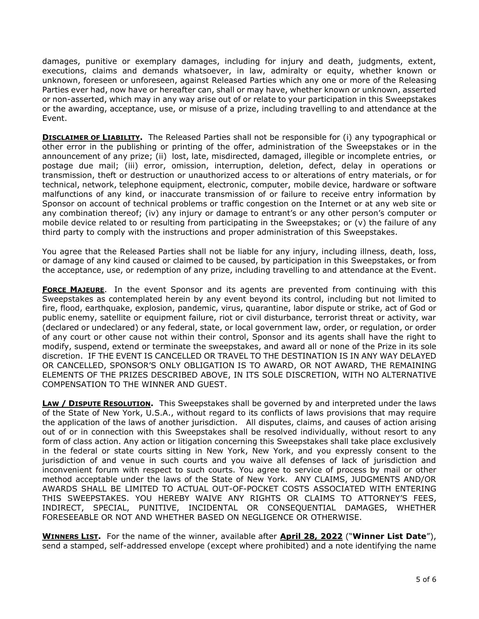damages, punitive or exemplary damages, including for injury and death, judgments, extent, executions, claims and demands whatsoever, in law, admiralty or equity, whether known or unknown, foreseen or unforeseen, against Released Parties which any one or more of the Releasing Parties ever had, now have or hereafter can, shall or may have, whether known or unknown, asserted or non-asserted, which may in any way arise out of or relate to your participation in this Sweepstakes or the awarding, acceptance, use, or misuse of a prize, including travelling to and attendance at the Event.

**DISCLAIMER OF LIABILITY.** The Released Parties shall not be responsible for (i) any typographical or other error in the publishing or printing of the offer, administration of the Sweepstakes or in the announcement of any prize; (ii) lost, late, misdirected, damaged, illegible or incomplete entries, or postage due mail; (iii) error, omission, interruption, deletion, defect, delay in operations or transmission, theft or destruction or unauthorized access to or alterations of entry materials, or for technical, network, telephone equipment, electronic, computer, mobile device, hardware or software malfunctions of any kind, or inaccurate transmission of or failure to receive entry information by Sponsor on account of technical problems or traffic congestion on the Internet or at any web site or any combination thereof; (iv) any injury or damage to entrant's or any other person's computer or mobile device related to or resulting from participating in the Sweepstakes; or (v) the failure of any third party to comply with the instructions and proper administration of this Sweepstakes.

You agree that the Released Parties shall not be liable for any injury, including illness, death, loss, or damage of any kind caused or claimed to be caused, by participation in this Sweepstakes, or from the acceptance, use, or redemption of any prize, including travelling to and attendance at the Event.

**FORCE MAJEURE**. In the event Sponsor and its agents are prevented from continuing with this Sweepstakes as contemplated herein by any event beyond its control, including but not limited to fire, flood, earthquake, explosion, pandemic, virus, quarantine, labor dispute or strike, act of God or public enemy, satellite or equipment failure, riot or civil disturbance, terrorist threat or activity, war (declared or undeclared) or any federal, state, or local government law, order, or regulation, or order of any court or other cause not within their control, Sponsor and its agents shall have the right to modify, suspend, extend or terminate the sweepstakes, and award all or none of the Prize in its sole discretion. IF THE EVENT IS CANCELLED OR TRAVEL TO THE DESTINATION IS IN ANY WAY DELAYED OR CANCELLED, SPONSOR'S ONLY OBLIGATION IS TO AWARD, OR NOT AWARD, THE REMAINING ELEMENTS OF THE PRIZES DESCRIBED ABOVE, IN ITS SOLE DISCRETION, WITH NO ALTERNATIVE COMPENSATION TO THE WINNER AND GUEST.

**LAW / DISPUTE RESOLUTION.** This Sweepstakes shall be governed by and interpreted under the laws of the State of New York, U.S.A., without regard to its conflicts of laws provisions that may require the application of the laws of another jurisdiction. All disputes, claims, and causes of action arising out of or in connection with this Sweepstakes shall be resolved individually, without resort to any form of class action. Any action or litigation concerning this Sweepstakes shall take place exclusively in the federal or state courts sitting in New York, New York, and you expressly consent to the jurisdiction of and venue in such courts and you waive all defenses of lack of jurisdiction and inconvenient forum with respect to such courts. You agree to service of process by mail or other method acceptable under the laws of the State of New York. ANY CLAIMS, JUDGMENTS AND/OR AWARDS SHALL BE LIMITED TO ACTUAL OUT-OF-POCKET COSTS ASSOCIATED WITH ENTERING THIS SWEEPSTAKES. YOU HEREBY WAIVE ANY RIGHTS OR CLAIMS TO ATTORNEY'S FEES, INDIRECT, SPECIAL, PUNITIVE, INCIDENTAL OR CONSEQUENTIAL DAMAGES, WHETHER FORESEEABLE OR NOT AND WHETHER BASED ON NEGLIGENCE OR OTHERWISE.

**WINNERS LIST.** For the name of the winner, available after **April 28, 2022** ("**Winner List Date**"), send a stamped, self-addressed envelope (except where prohibited) and a note identifying the name